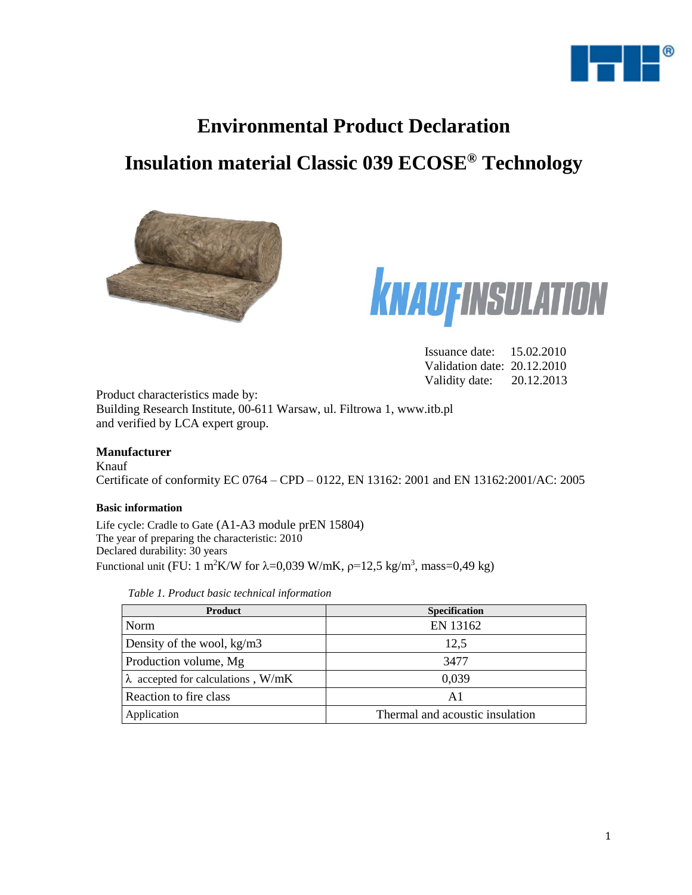

# **Environmental Product Declaration**

# **Insulation material Classic 039 ECOSE® Technology**





Issuance date: 15.02.2010 Validation date: 20.12.2010 Validity date: 20.12.2013

Product characteristics made by: Building Research Institute, 00-611 Warsaw, ul. Filtrowa 1, www.itb.pl and verified by LCA expert group.

#### **Manufacturer**

Knauf Certificate of conformity EC 0764 – CPD – 0122, EN 13162: 2001 and EN 13162:2001/AC: 2005

#### **Basic information**

Life cycle: Cradle to Gate (A1-A3 module prEN 15804) The year of preparing the characteristic: 2010 Declared durability: 30 years Functional unit (FU: 1 m<sup>2</sup>K/W for  $\lambda$ =0,039 W/mK,  $\rho$ =12,5 kg/m<sup>3</sup>, mass=0,49 kg)

|  |  | Table 1. Product basic technical information |
|--|--|----------------------------------------------|
|  |  |                                              |

| <b>Product</b>                            | <b>Specification</b>            |
|-------------------------------------------|---------------------------------|
| Norm                                      | EN 13162                        |
| Density of the wool, $kg/m3$              | 12,5                            |
| Production volume, Mg                     | 3477                            |
| $\lambda$ accepted for calculations, W/mK | 0,039                           |
| Reaction to fire class                    | Αl                              |
| Application                               | Thermal and acoustic insulation |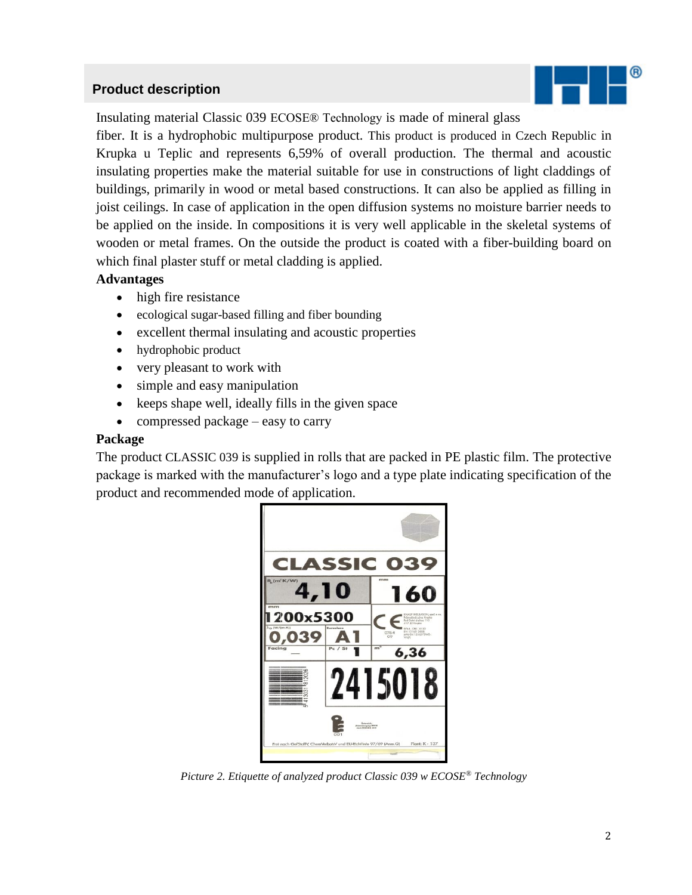### **Product description**



Insulating material Classic 039 ECOSE® Technology is made of mineral glass

fiber. It is a hydrophobic multipurpose product. This product is produced in Czech Republic in Krupka u Teplic and represents 6,59% of overall production. The thermal and acoustic insulating properties make the material suitable for use in constructions of light claddings of buildings, primarily in wood or metal based constructions. It can also be applied as filling in joist ceilings. In case of application in the open diffusion systems no moisture barrier needs to be applied on the inside. In compositions it is very well applicable in the skeletal systems of wooden or metal frames. On the outside the product is coated with a fiber-building board on which final plaster stuff or metal cladding is applied.

#### **Advantages**

- high fire resistance
- ecological sugar-based filling and fiber bounding
- excellent thermal insulating and acoustic properties
- hydrophobic product
- very pleasant to work with
- simple and easy manipulation
- keeps shape well, ideally fills in the given space
- compressed package easy to carry

#### **Package**

The product CLASSIC 039 is supplied in rolls that are packed in PE plastic film. The protective package is marked with the manufacturer's logo and a type plate indicating specification of the product and recommended mode of application.



*Picture 2. Etiquette of analyzed product Classic 039 w ECOSE® Technology*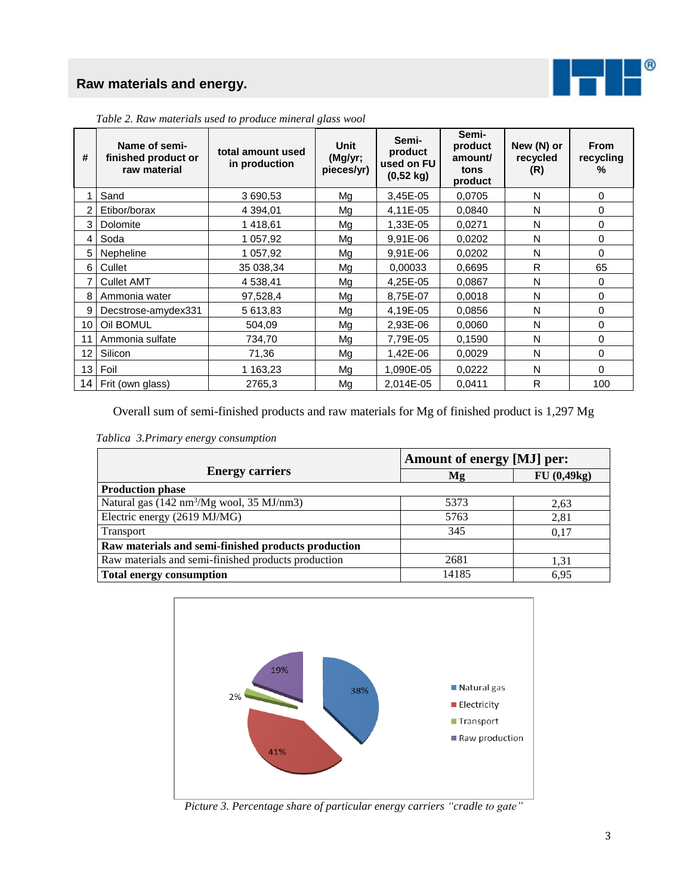## **Raw materials and energy.**



| #               | Name of semi-<br>finished product or<br>raw material | total amount used<br>in production | Unit<br>(Mg/yr;<br>pieces/yr) | Semi-<br>product<br>used on FU<br>$(0,52 \text{ kg})$ | Semi-<br>product<br>amount/<br>tons<br>product | New (N) or<br>recycled<br>(R) | <b>From</b><br>recycling<br>$\%$ |
|-----------------|------------------------------------------------------|------------------------------------|-------------------------------|-------------------------------------------------------|------------------------------------------------|-------------------------------|----------------------------------|
|                 | Sand                                                 | 3 690,53                           | Mg                            | 3,45E-05                                              | 0,0705                                         | N                             | 0                                |
|                 | Etibor/borax                                         | 4 3 9 4 , 0 1                      | Mg                            | 4,11E-05                                              | 0,0840                                         | N                             | 0                                |
| 3               | Dolomite                                             | 1418,61                            | Mg                            | 1,33E-05                                              | 0,0271                                         | N                             | 0                                |
| 4               | Soda                                                 | 1 057,92                           | Mg                            | 9,91E-06                                              | 0,0202                                         | N                             | 0                                |
| 5               | Nepheline                                            | 1 057,92                           | Mg                            | 9,91E-06                                              | 0,0202                                         | N                             | $\Omega$                         |
| 6               | Cullet                                               | 35 038,34                          | Mg                            | 0.00033                                               | 0.6695                                         | R.                            | 65                               |
|                 | <b>Cullet AMT</b>                                    | 4 538,41                           | Mg                            | 4,25E-05                                              | 0,0867                                         | N                             | 0                                |
| 8               | Ammonia water                                        | 97,528,4                           | Mg                            | 8,75E-07                                              | 0,0018                                         | N                             | 0                                |
| 9               | Decstrose-amydex331                                  | 5 613,83                           | Mg                            | 4,19E-05                                              | 0.0856                                         | N                             | $\Omega$                         |
| 10              | Oil BOMUL                                            | 504,09                             | Mg                            | 2,93E-06                                              | 0,0060                                         | N                             | 0                                |
| 11              | Ammonia sulfate                                      | 734,70                             | Mg                            | 7,79E-05                                              | 0,1590                                         | N                             | 0                                |
| 12              | Silicon                                              | 71,36                              | Mg                            | 1,42E-06                                              | 0,0029                                         | N                             | 0                                |
| 13 <sup>1</sup> | Foil                                                 | 1 163,23                           | Mg                            | 1,090E-05                                             | 0,0222                                         | N                             | $\Omega$                         |
|                 | 14 Frit (own glass)                                  | 2765,3                             | Mg                            | 2.014E-05                                             | 0,0411                                         | R                             | 100                              |

*Table 2. Raw materials used to produce mineral glass wool*

Overall sum of semi-finished products and raw materials for Mg of finished product is 1,297 Mg

*Tablica 3.Primary energy consumption*

|                                                       | Amount of energy [MJ] per: |            |  |  |  |  |
|-------------------------------------------------------|----------------------------|------------|--|--|--|--|
| <b>Energy carriers</b>                                | Mg                         | FU(0,49kg) |  |  |  |  |
| <b>Production phase</b>                               |                            |            |  |  |  |  |
| Natural gas (142 nm <sup>3</sup> /Mg wool, 35 MJ/nm3) | 5373                       | 2.63       |  |  |  |  |
| Electric energy (2619 MJ/MG)                          | 5763                       | 2,81       |  |  |  |  |
| Transport                                             | 345                        | 0.17       |  |  |  |  |
| Raw materials and semi-finished products production   |                            |            |  |  |  |  |
| Raw materials and semi-finished products production   | 2681                       | 1.31       |  |  |  |  |
| <b>Total energy consumption</b>                       | 14185                      | 6.95       |  |  |  |  |



*Picture 3. Percentage share of particular energy carriers "cradle to gate"*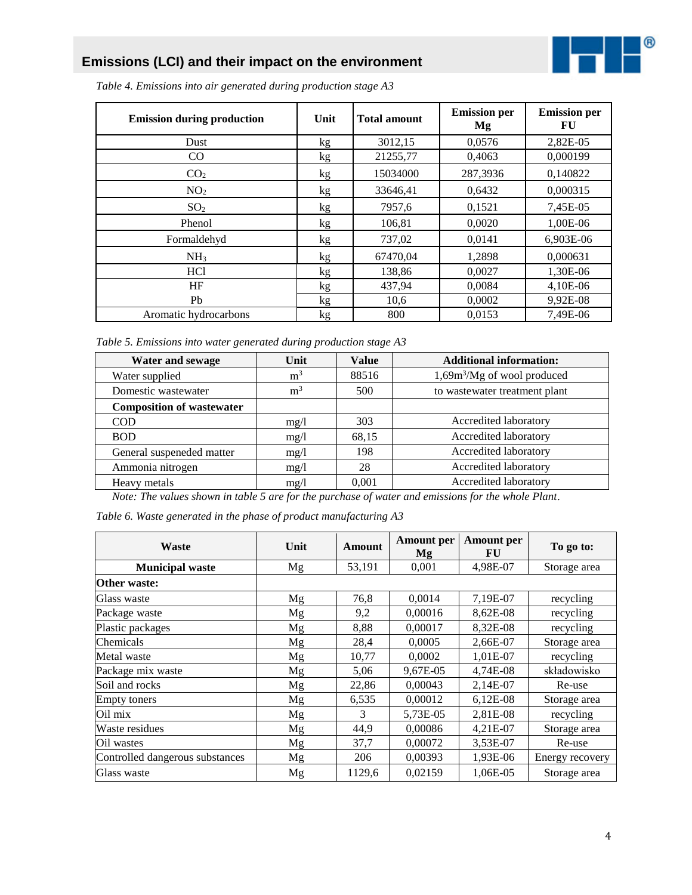## **Emissions (LCI) and their impact on the environment**



*Table 4. Emissions into air generated during production stage A3*

| <b>Emission during production</b> | Unit | <b>Total amount</b> | <b>Emission per</b><br>Mg | <b>Emission per</b><br>FU |
|-----------------------------------|------|---------------------|---------------------------|---------------------------|
| Dust                              | kg   | 3012,15             | 0,0576                    | 2,82E-05                  |
| $\rm CO$                          | kg   | 21255,77            | 0,4063                    | 0,000199                  |
| CO <sub>2</sub>                   | kg   | 15034000            | 287,3936                  | 0,140822                  |
| NO <sub>2</sub>                   | kg   | 33646,41            | 0,6432                    | 0,000315                  |
| SO <sub>2</sub>                   | kg   | 7957,6              | 0,1521                    | 7,45E-05                  |
| Phenol                            | kg   | 106,81              | 0,0020                    | 1,00E-06                  |
| Formaldehyd                       | kg   | 737,02              | 0,0141                    | 6,903E-06                 |
| NH <sub>3</sub>                   | kg   | 67470,04            | 1,2898                    | 0,000631                  |
| HC <sub>1</sub>                   | kg   | 138,86              | 0,0027                    | 1,30E-06                  |
| HF                                | kg   | 437,94              | 0,0084                    | 4,10E-06                  |
| Pb                                | kg   | 10,6                | 0,0002                    | 9,92E-08                  |
| Aromatic hydrocarbons             | kg   | 800                 | 0,0153                    | 7,49E-06                  |

*Table 5. Emissions into water generated during production stage A3*

| Water and sewage                 | Unit           | <b>Value</b> | <b>Additional information:</b> |
|----------------------------------|----------------|--------------|--------------------------------|
| Water supplied                   | m <sup>3</sup> | 88516        | $1,69m3/Mg$ of wool produced   |
| Domestic wastewater              | m <sup>3</sup> | 500          | to wastewater treatment plant  |
| <b>Composition of wastewater</b> |                |              |                                |
| <b>COD</b>                       | mg/1           | 303          | Accredited laboratory          |
| <b>BOD</b>                       | mg/1           | 68,15        | Accredited laboratory          |
| General suspeneded matter        | mg/l           | 198          | Accredited laboratory          |
| Ammonia nitrogen                 | mg/1           | 28           | Accredited laboratory          |
| Heavy metals                     | mg/l           | 0.001        | Accredited laboratory          |

*Note: The values shown in table 5 are for the purchase of water and emissions for the whole Plant.* 

|  | Table 6. Waste generated in the phase of product manufacturing A3 |  |  |  |  |
|--|-------------------------------------------------------------------|--|--|--|--|
|  |                                                                   |  |  |  |  |

| Waste                           | Unit | Amount | <b>Amount</b> per<br>Mg | <b>Amount per</b><br>FU | To go to:       |
|---------------------------------|------|--------|-------------------------|-------------------------|-----------------|
| <b>Municipal waste</b>          | Mg   | 53,191 | 0,001                   | 4,98E-07                | Storage area    |
| Other waste:                    |      |        |                         |                         |                 |
| Glass waste                     | Mg   | 76,8   | 0,0014                  | 7,19E-07                | recycling       |
| Package waste                   | Mg   | 9,2    | 0,00016                 | 8,62E-08                | recycling       |
| Plastic packages                | Mg   | 8,88   | 0,00017                 | 8,32E-08                | recycling       |
| Chemicals                       | Mg   | 28,4   | 0,0005                  | 2,66E-07                | Storage area    |
| Metal waste                     | Mg   | 10,77  | 0,0002                  | 1,01E-07                | recycling       |
| Package mix waste               | Mg   | 5,06   | 9,67E-05                | 4,74E-08                | składowisko     |
| Soil and rocks                  | Mg   | 22,86  | 0,00043                 | 2,14E-07                | Re-use          |
| <b>Empty toners</b>             | Mg   | 6,535  | 0,00012                 | $6,12E-08$              | Storage area    |
| Oil mix                         | Mg   | 3      | 5,73E-05                | 2,81E-08                | recycling       |
| Waste residues                  | Mg   | 44,9   | 0,00086                 | 4,21E-07                | Storage area    |
| Oil wastes                      | Mg   | 37,7   | 0,00072                 | 3,53E-07                | Re-use          |
| Controlled dangerous substances | Mg   | 206    | 0,00393                 | 1,93E-06                | Energy recovery |
| Glass waste                     | Mg   | 1129,6 | 0,02159                 | 1,06E-05                | Storage area    |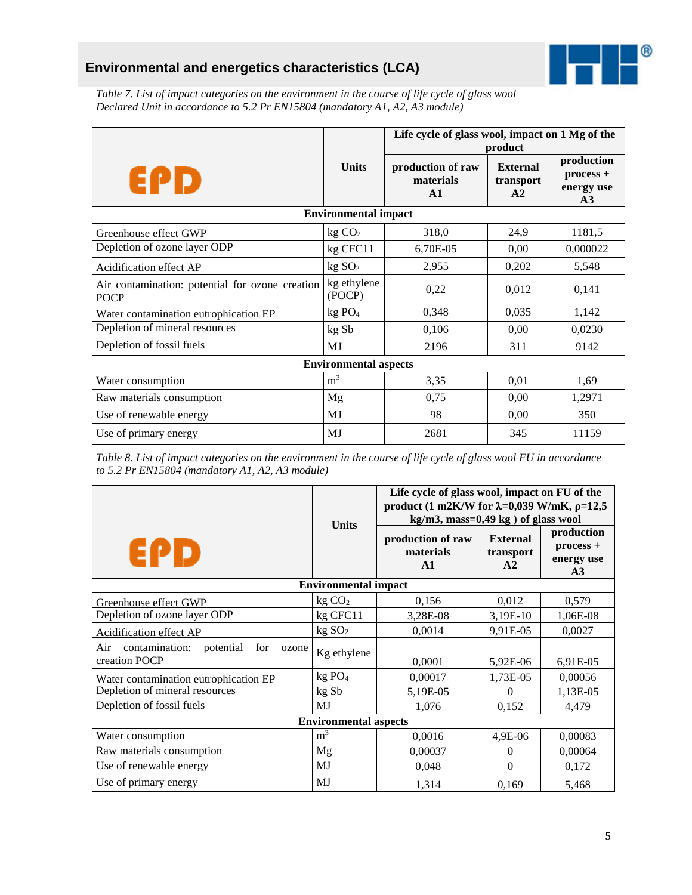# **Environmental and energetics characteristics (LCA)**



*Table 7. List of impact categories on the environment in the course of life cycle of glass wool Declared Unit in accordance to 5.2 Pr EN15804 (mandatory A1, A2, A3 module)*

|                                                                |                              | Life cycle of glass wool, impact on 1 Mg of the | product                            |                                                           |
|----------------------------------------------------------------|------------------------------|-------------------------------------------------|------------------------------------|-----------------------------------------------------------|
| EPD                                                            | <b>Units</b>                 | production of raw<br>materials<br>$\mathbf{A1}$ | <b>External</b><br>transport<br>A2 | production<br>$process +$<br>energy use<br>A <sub>3</sub> |
|                                                                | <b>Environmental impact</b>  |                                                 |                                    |                                                           |
| Greenhouse effect GWP                                          | kg CO <sub>2</sub>           | 318,0                                           | 24,9                               | 1181,5                                                    |
| Depletion of ozone layer ODP                                   | kg CFC11                     | 6,70E-05                                        | 0,00                               | 0,000022                                                  |
| Acidification effect AP                                        | kg SO <sub>2</sub>           | 2,955                                           | 0,202                              | 5,548                                                     |
| Air contamination: potential for ozone creation<br><b>POCP</b> | kg ethylene<br>(POCP)        | 0,22                                            | 0,012                              | 0,141                                                     |
| Water contamination eutrophication EP                          | kg PO <sub>4</sub>           | 0,348                                           | 0,035                              | 1,142                                                     |
| Depletion of mineral resources                                 | kg Sb                        | 0,106                                           | 0,00                               | 0,0230                                                    |
| Depletion of fossil fuels                                      | MJ                           | 2196                                            | 311                                | 9142                                                      |
|                                                                | <b>Environmental aspects</b> |                                                 |                                    |                                                           |
| Water consumption                                              | m <sup>3</sup>               | 3,35                                            | 0,01                               | 1,69                                                      |
| Raw materials consumption                                      | Mg                           | 0,75                                            | 0,00                               | 1,2971                                                    |
| Use of renewable energy                                        | MJ                           | 98                                              | 0,00                               | 350                                                       |
| Use of primary energy                                          | MJ                           | 2681                                            | 345                                | 11159                                                     |

*Table 8. List of impact categories on the environment in the course of life cycle of glass wool FU in accordance to 5.2 Pr EN15804 (mandatory A1, A2, A3 module)*

|                                                                     | <b>Units</b>                 | Life cycle of glass wool, impact on FU of the<br>product (1 m2K/W for $\lambda$ =0,039 W/mK, $\rho$ =12,5<br>$kg/m3$ , mass=0,49 kg) of glass wool |                                    |                                             |  |
|---------------------------------------------------------------------|------------------------------|----------------------------------------------------------------------------------------------------------------------------------------------------|------------------------------------|---------------------------------------------|--|
| EPD                                                                 |                              | production of raw<br>materials<br>$\mathbf{A1}$                                                                                                    | <b>External</b><br>transport<br>A2 | production<br>process +<br>energy use<br>A3 |  |
|                                                                     | <b>Environmental impact</b>  |                                                                                                                                                    |                                    |                                             |  |
| Greenhouse effect GWP                                               | kg CO <sub>2</sub>           | 0,156                                                                                                                                              | 0,012                              | 0,579                                       |  |
| Depletion of ozone layer ODP                                        | kg CFC11                     | 3,28E-08                                                                                                                                           | 3,19E-10                           | 1,06E-08                                    |  |
| Acidification effect AP                                             | kg SO <sub>2</sub>           | 0,0014                                                                                                                                             | 9,91E-05                           | 0,0027                                      |  |
| Air<br>contamination:<br>potential<br>for<br>ozone<br>creation POCP | Kg ethylene                  | 0,0001                                                                                                                                             | 5,92E-06                           | 6,91E-05                                    |  |
| Water contamination eutrophication EP                               | kg PO <sub>4</sub>           | 0,00017                                                                                                                                            | 1,73E-05                           | 0,00056                                     |  |
| Depletion of mineral resources                                      | kg Sb                        | 5,19E-05                                                                                                                                           | 0                                  | 1,13E-05                                    |  |
| Depletion of fossil fuels                                           | MJ                           | 1,076                                                                                                                                              | 0.152                              | 4,479                                       |  |
|                                                                     | <b>Environmental aspects</b> |                                                                                                                                                    |                                    |                                             |  |
| Water consumption                                                   | m <sup>3</sup>               | 0,0016                                                                                                                                             | 4,9E-06                            | 0,00083                                     |  |
| Raw materials consumption                                           | Mg                           | 0,00037                                                                                                                                            | $\Omega$                           | 0,00064                                     |  |
| Use of renewable energy                                             | MJ                           | 0,048                                                                                                                                              | $\Omega$                           | 0,172                                       |  |
| Use of primary energy                                               | MJ                           | 1,314                                                                                                                                              | 0,169                              | 5,468                                       |  |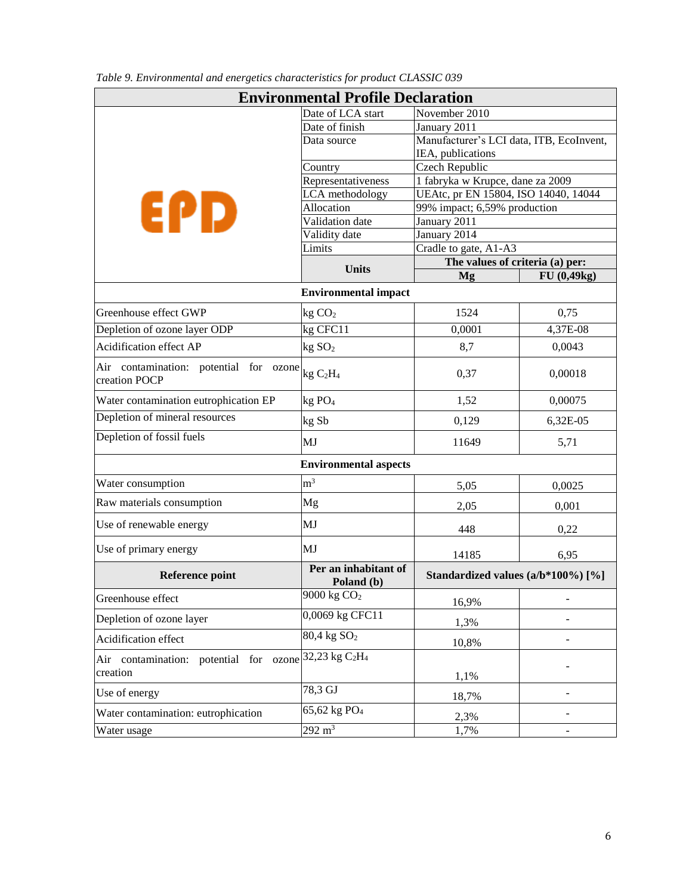| <b>Environmental Profile Declaration</b>                |                                        |                                              |                              |  |  |
|---------------------------------------------------------|----------------------------------------|----------------------------------------------|------------------------------|--|--|
|                                                         | Date of LCA start                      | November 2010                                |                              |  |  |
|                                                         | Date of finish                         | January 2011                                 |                              |  |  |
|                                                         | Data source                            | Manufacturer's LCI data, ITB, EcoInvent,     |                              |  |  |
|                                                         |                                        | IEA, publications                            |                              |  |  |
|                                                         | Country                                | Czech Republic                               |                              |  |  |
|                                                         | Representativeness                     | 1 fabryka w Krupce, dane za 2009             |                              |  |  |
| EPD                                                     | LCA methodology                        | UEAtc, pr EN 15804, ISO 14040, 14044         |                              |  |  |
|                                                         | Allocation                             | 99% impact; 6,59% production                 |                              |  |  |
|                                                         | Validation date                        | January 2011                                 |                              |  |  |
|                                                         | Validity date                          | January 2014                                 |                              |  |  |
|                                                         | Limits                                 | Cradle to gate, A1-A3                        |                              |  |  |
|                                                         | <b>Units</b>                           | The values of criteria (a) per:<br><b>Mg</b> | FU (0,49kg)                  |  |  |
|                                                         | <b>Environmental impact</b>            |                                              |                              |  |  |
|                                                         |                                        |                                              |                              |  |  |
| Greenhouse effect GWP                                   | kg CO <sub>2</sub>                     | 1524                                         | 0,75                         |  |  |
| Depletion of ozone layer ODP                            | kg CFC11                               | 0,0001                                       | 4,37E-08                     |  |  |
| Acidification effect AP                                 | kg SO <sub>2</sub>                     | 8,7                                          | 0,0043                       |  |  |
| Air contamination: potential for ozone<br>creation POCP | kg C <sub>2</sub> H <sub>4</sub>       | 0,37                                         | 0,00018                      |  |  |
| Water contamination eutrophication EP                   | kg PO <sub>4</sub>                     | 1,52                                         | 0,00075                      |  |  |
| Depletion of mineral resources                          | kg Sb                                  | 0,129                                        | 6,32E-05                     |  |  |
| Depletion of fossil fuels                               | MJ                                     | 11649                                        | 5,71                         |  |  |
|                                                         | <b>Environmental aspects</b>           |                                              |                              |  |  |
| Water consumption                                       | m <sup>3</sup>                         | 5,05                                         | 0,0025                       |  |  |
| Raw materials consumption                               | Mg                                     | 2,05                                         | 0,001                        |  |  |
| Use of renewable energy                                 | MJ                                     | 448                                          | 0,22                         |  |  |
| Use of primary energy                                   | MJ                                     | 14185                                        | 6,95                         |  |  |
| <b>Reference point</b>                                  | Per an inhabitant of<br>Poland (b)     | Standardized values (a/b*100%) [%]           |                              |  |  |
| Greenhouse effect                                       | 9000 kg CO <sub>2</sub>                | 16,9%                                        |                              |  |  |
| Depletion of ozone layer                                | 0,0069 kg CFC11                        | 1,3%                                         |                              |  |  |
| Acidification effect                                    | $80,4$ kg $SO2$                        | 10,8%                                        |                              |  |  |
| Air contamination: potential for ozone                  | 32,23 kg C <sub>2</sub> H <sub>4</sub> |                                              |                              |  |  |
| creation                                                |                                        | 1,1%                                         |                              |  |  |
| Use of energy                                           | 78,3 GJ                                | 18,7%                                        | $\qquad \qquad \blacksquare$ |  |  |
| Water contamination: eutrophication                     | 65,62 kg PO <sub>4</sub>               | 2,3%                                         |                              |  |  |
| Water usage                                             | $292 \text{ m}^3$                      | 1,7%                                         | $\qquad \qquad \blacksquare$ |  |  |

*Table 9. Environmental and energetics characteristics for product CLASSIC 039*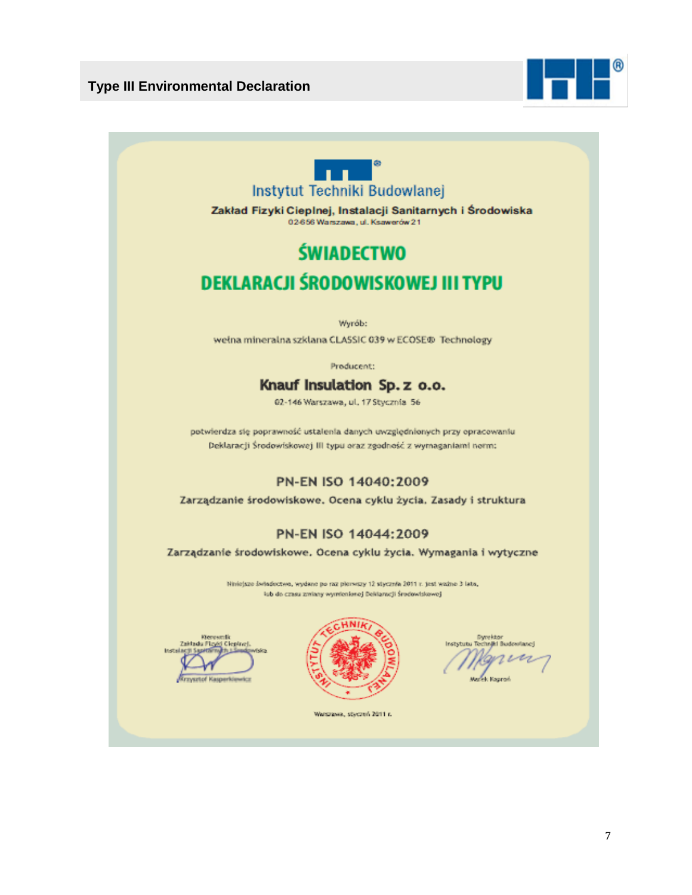



Zakład Fizyki Cieplnej, Instalacji Sanitarnych i Środowiska 02-656 Warszawa, ul. Ksawerów 21

# **ŚWIADECTWO** DEKLARACJI ŚRODOWISKOWEJ III TYPU

Wyrób:

weina mineralna szklana CLASSIC 039 w ECOSE® Technology

Producent:

# Knauf Insulation Sp. z o.o.

02-146 Warszawa, ul. 17 Stycznia 56

potwierdza się poprawność ustalenia danych uwzględnionych przy opracowaniu Deklaracji Środowiskowej III typu oraz zgodność z wymaganiami norm:

#### PN-EN ISO 14040:2009

Zarządzanie środowiskowe. Ocena cyklu życia. Zasady i struktura

#### PN-EN ISO 14044:2009

Zarządzanie środowiskowe. Ocena cyklu życia. Wymagania i wytyczne

Niniejsze świadectwa, wydane po raz pierwszy 12 stycznia 2011 r. jest ważne 3 lata, lub do czasu zmiany wymienienej Deklaracji Środowiskowej

**Kleresmik** Zaktadu Fiziki **Cientret** аст 5 ад



stytutu Ti **Jid Rustrantanov** 

Warszawa, styczeń 2011 r.